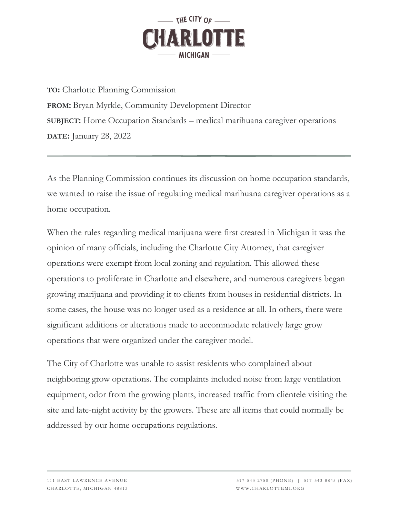

**TO:** Charlotte Planning Commission **FROM:** Bryan Myrkle, Community Development Director **SUBJECT:** Home Occupation Standards – medical marihuana caregiver operations **DATE:** January 28, 2022

As the Planning Commission continues its discussion on home occupation standards, we wanted to raise the issue of regulating medical marihuana caregiver operations as a home occupation.

When the rules regarding medical marijuana were first created in Michigan it was the opinion of many officials, including the Charlotte City Attorney, that caregiver operations were exempt from local zoning and regulation. This allowed these operations to proliferate in Charlotte and elsewhere, and numerous caregivers began growing marijuana and providing it to clients from houses in residential districts. In some cases, the house was no longer used as a residence at all. In others, there were significant additions or alterations made to accommodate relatively large grow operations that were organized under the caregiver model.

The City of Charlotte was unable to assist residents who complained about neighboring grow operations. The complaints included noise from large ventilation equipment, odor from the growing plants, increased traffic from clientele visiting the site and late-night activity by the growers. These are all items that could normally be addressed by our home occupations regulations.